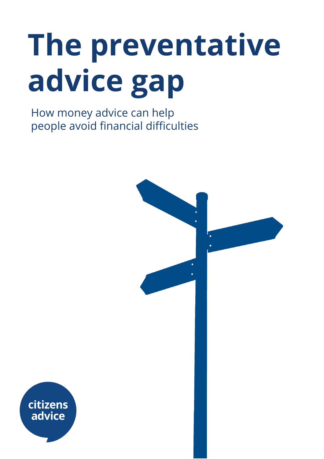# **The preventative advice gap**

How money advice can help people avoid financial difficulties



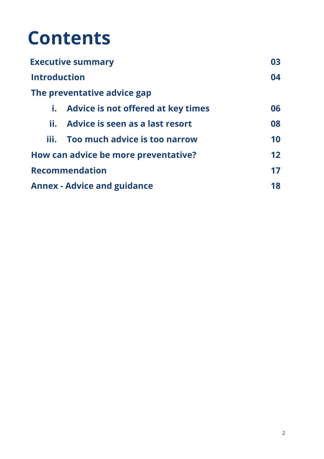## **Contents**

| <b>Executive summary</b>             |                                       | 03 |
|--------------------------------------|---------------------------------------|----|
| <b>Introduction</b>                  |                                       | 04 |
|                                      | The preventative advice gap           |    |
|                                      | i. Advice is not offered at key times | 06 |
| ĬĬ.                                  | Advice is seen as a last resort       | 08 |
| iii.                                 | Too much advice is too narrow         | 10 |
| How can advice be more preventative? |                                       | 12 |
| <b>Recommendation</b>                |                                       | 17 |
| <b>Annex - Advice and guidance</b>   |                                       | 18 |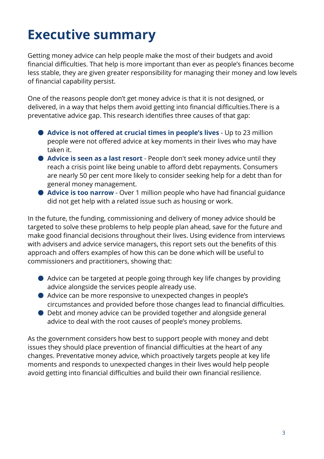## **Executive summary**

Getting money advice can help people make the most of their budgets and avoid financial difficulties. That help is more important than ever as people's finances become less stable, they are given greater responsibility for managing their money and low levels of financial capability persist.

One of the reasons people don't get money advice is that it is not designed, or delivered, in a way that helps them avoid getting into financial difficulties.There is a preventative advice gap. This research identifies three causes of that gap:

- **Advice is not offered at crucial times in people's lives** Up to 23 million people were not offered advice at key moments in their lives who may have taken it.
- **Advice is seen as a last resort** People don't seek money advice until they reach a crisis point like being unable to afford debt repayments. Consumers are nearly 50 per cent more likely to consider seeking help for a debt than for general money management.
- **Advice is too narrow** Over 1 million people who have had financial guidance did not get help with a related issue such as housing or work.

In the future, the funding, commissioning and delivery of money advice should be targeted to solve these problems to help people plan ahead, save for the future and make good financial decisions throughout their lives. Using evidence from interviews with advisers and advice service managers, this report sets out the benefits of this approach and offers examples of how this can be done which will be useful to commissioners and practitioners, showing that:

- Advice can be targeted at people going through key life changes by providing advice alongside the services people already use.
- Advice can be more responsive to unexpected changes in people's circumstances and provided before those changes lead to financial difficulties.
- Debt and money advice can be provided together and alongside general advice to deal with the root causes of people's money problems.

As the government considers how best to support people with money and debt issues they should place prevention of financial difficulties at the heart of any changes. Preventative money advice, which proactively targets people at key life moments and responds to unexpected changes in their lives would help people avoid getting into financial difficulties and build their own financial resilience.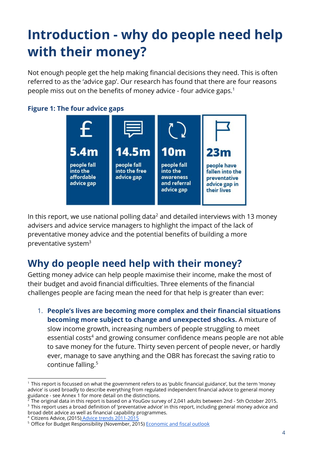## **Introduction - why do people need help with their money?**

Not enough people get the help making financial decisions they need. This is often referred to as the 'advice gap'. Our research has found that there are four reasons people miss out on the benefits of money advice - four advice gaps. 1

#### **Figure 1: The four advice gaps**



In this report, we use national polling data<sup>2</sup> and detailed interviews with 13 money advisers and advice service managers to highlight the impact of the lack of preventative money advice and the potential benefits of building a more preventative system $3$ 

### **Why do people need help with their money?**

Getting money advice can help people maximise their income, make the most of their budget and avoid financial difficulties. Three elements of the financial challenges people are facing mean the need for that help is greater than ever:

1. **People's lives are becoming more complex and their financial situations becoming more subject to change and unexpected shocks.**A mixture of slow income growth, increasing numbers of people struggling to meet essential costs<sup>4</sup> and growing consumer confidence means people are not able to save money for the future. Thirty seven percent of people never, or hardly ever, manage to save anything and the OBR has forecast the saving ratio to continue falling. 5

<sup>1</sup> This report is focussed on what the government refers to as 'public financial guidance', but the term 'money advice' is used broadly to describe everything from regulated independent financial advice to general money guidance - see Annex 1 for more detail on the distinctions.

<sup>2</sup> The original data in this report is based on a YouGov survey of 2,041 adults between 2nd - 5th October 2015. <sup>3</sup> This report uses a broad definition of 'preventative advice' in this report, including general money advice and

broad debt advice as well as financial capability programmes.

<sup>4</sup> Citizens Advice, (2015) Advice trends [2011-2015](https://www.citizensadvice.org.uk/Global/Public/Advice%20trends/Advice-trends-four-year-snapshot-2011-2015.pdf)

<sup>&</sup>lt;sup>5</sup> Office for Budget Responsibility (November, 2015) [Economic](http://budgetresponsibility.org.uk/docs/dlm_uploads/EFO_November__2015.pdf) and fiscal outlook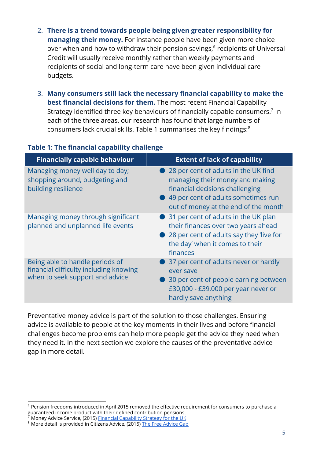- 2. **There is a trend towards people being given greater responsibility for managing their money.** For instance people have been given more choice over when and how to withdraw their pension savings,<sup>6</sup> recipients of Universal Credit will usually receive monthly rather than weekly payments and recipients of social and long-term care have been given individual care budgets.
- 3. **Many consumers still lack the necessary financial capability to make the best financial decisions for them.**The most recent Financial Capability Strategy identified three key behaviours of financially capable consumers.<sup>7</sup> In each of the three areas, our research has found that large numbers of consumers lack crucial skills. Table 1 summarises the key findings: 8

| <b>Financially capable behaviour</b>                                                                         | <b>Extent of lack of capability</b>                                                                                                                                                           |
|--------------------------------------------------------------------------------------------------------------|-----------------------------------------------------------------------------------------------------------------------------------------------------------------------------------------------|
| Managing money well day to day;<br>shopping around, budgeting and<br>building resilience                     | ● 28 per cent of adults in the UK find<br>managing their money and making<br>financial decisions challenging<br>● 49 per cent of adults sometimes run<br>out of money at the end of the month |
| Managing money through significant<br>planned and unplanned life events                                      | • 31 per cent of adults in the UK plan<br>their finances over two years ahead<br>28 per cent of adults say they 'live for<br>the day' when it comes to their<br>finances                      |
| Being able to handle periods of<br>financial difficulty including knowing<br>when to seek support and advice | 37 per cent of adults never or hardly<br>ever save<br>30 per cent of people earning between<br>£30,000 - £39,000 per year never or<br>hardly save anything                                    |

#### **Table 1: The financial capability challenge**

Preventative money advice is part of the solution to those challenges. Ensuring advice is available to people at the key moments in their lives and before financial challenges become problems can help more people get the advice they need when they need it. In the next section we explore the causes of the preventative advice gap in more detail.

<sup>6</sup> Pension freedoms introduced in April 2015 removed the effective requirement for consumers to purchase a guaranteed income product with their defined contribution pensions.

Money Advice Service, (2015) Financial [Capability](https://prismic-io.s3.amazonaws.com/fincap-two%2Fd176f87b-48f9-4344-9d26-afc4df5d86f5_uk+financial+capability+strategy.pdf) Strategy for the UK

<sup>&</sup>lt;sup>8</sup> More detail is provided in Citizens [Advice](https://www.citizensadvice.org.uk/Global/CitizensAdvice/Debt%20and%20Money%20Publications/The%20free%20advice%20gap%20FINAL.pdf), (2015) The Free Advice Gap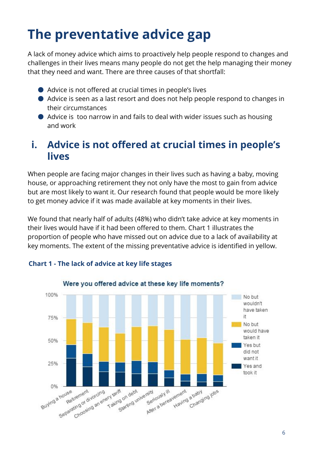## **The preventative advice gap**

A lack of money advice which aims to proactively help people respond to changes and challenges in their lives means many people do not get the help managing their money that they need and want. There are three causes of that shortfall:

- Advice is not offered at crucial times in people's lives
- Advice is seen as a last resort and does not help people respond to changes in their circumstances
- Advice is too narrow in and fails to deal with wider issues such as housing and work

## **i. Advice is not offered at crucial times in people's lives**

When people are facing major changes in their lives such as having a baby, moving house, or approaching retirement they not only have the most to gain from advice but are most likely to want it. Our research found that people would be more likely to get money advice if it was made available at key moments in their lives.

We found that nearly half of adults (48%) who didn't take advice at key moments in their lives would have if it had been offered to them. Chart 1 illustrates the proportion of people who have missed out on advice due to a lack of availability at key moments. The extent of the missing preventative advice is identified in yellow.



#### **Chart 1 - The lack of advice at key life stages**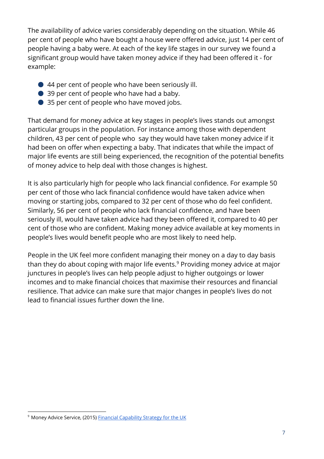The availability of advice varies considerably depending on the situation. While 46 per cent of people who have bought a house were offered advice, just 14 per cent of people having a baby were. At each of the key life stages in our survey we found a significant group would have taken money advice if they had been offered it - for example:

- 44 per cent of people who have been seriously ill.
- 39 per cent of people who have had a baby.
- 35 per cent of people who have moved jobs.

That demand for money advice at key stages in people's lives stands out amongst particular groups in the population. For instance among those with dependent children, 43 per cent of people who say they would have taken money advice if it had been on offer when expecting a baby. That indicates that while the impact of major life events are still being experienced, the recognition of the potential benefits of money advice to help deal with those changes is highest.

It is also particularly high for people who lack financial confidence. For example 50 per cent of those who lack financial confidence would have taken advice when moving or starting jobs, compared to 32 per cent of those who do feel confident. Similarly, 56 per cent of people who lack financial confidence, and have been seriously ill, would have taken advice had they been offered it, compared to 40 per cent of those who are confident. Making money advice available at key moments in people's lives would benefit people who are most likely to need help.

People in the UK feel more confident managing their money on a day to day basis than they do about coping with major life events. $^9$  Providing money advice at major junctures in people's lives can help people adjust to higher outgoings or lower incomes and to make financial choices that maximise their resources and financial resilience. That advice can make sure that major changes in people's lives do not lead to financial issues further down the line.

<sup>&</sup>lt;sup>9</sup> Money Advice Service, (2015) **Financial [Capability](https://prismic-io.s3.amazonaws.com/fincap-two%2Fd176f87b-48f9-4344-9d26-afc4df5d86f5_uk+financial+capability+strategy.pdf) Strategy for the UK**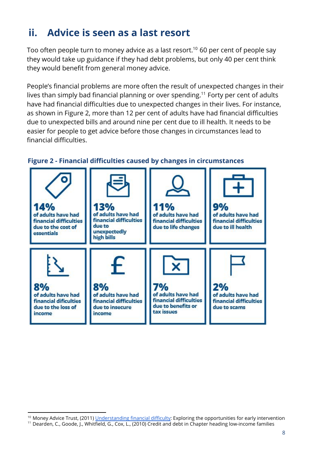## **ii. Advice is seen as a last resort**

Too often people turn to money advice as a last resort. $^{\rm 10}$  60 per cent of people say they would take up guidance if they had debt problems, but only 40 per cent think they would benefit from general money advice.

People's financial problems are more often the result of unexpected changes in their lives than simply bad financial planning or over spending.<sup>11</sup> Forty per cent of adults have had financial difficulties due to unexpected changes in their lives. For instance, as shown in Figure 2, more than 12 per cent of adults have had financial difficulties due to unexpected bills and around nine per cent due to ill health. It needs to be easier for people to get advice before those changes in circumstances lead to financial difficulties.



#### **Figure 2 - Financial difficulties caused by changes in circumstances**

<sup>&</sup>lt;sup>10</sup> Money Advice Trust, (2011) [Understanding](http://www.moneyadvicetrust.org/SiteCollectionDocuments/Research%20and%20reports/Early%20intervention%20research%202011.pdf) financial difficulty: Exploring the opportunities for early intervention

<sup>11</sup> Dearden, C., Goode, J., Whitfield, G., Cox, L., (2010) Credit and debt in Chapter heading low-income families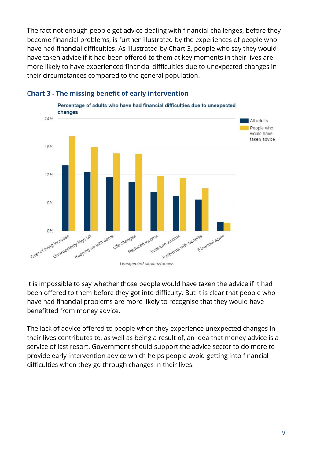The fact not enough people get advice dealing with financial challenges, before they become financial problems, is further illustrated by the experiences of people who have had financial difficulties. As illustrated by Chart 3, people who say they would have taken advice if it had been offered to them at key moments in their lives are more likely to have experienced financial difficulties due to unexpected changes in their circumstances compared to the general population.



#### **Chart 3 - The missing benefit of early intervention**

It is impossible to say whether those people would have taken the advice if it had been offered to them before they got into difficulty. But it is clear that people who have had financial problems are more likely to recognise that they would have benefitted from money advice.

The lack of advice offered to people when they experience unexpected changes in their lives contributes to, as well as being a result of, an idea that money advice is a service of last resort. Government should support the advice sector to do more to provide early intervention advice which helps people avoid getting into financial difficulties when they go through changes in their lives.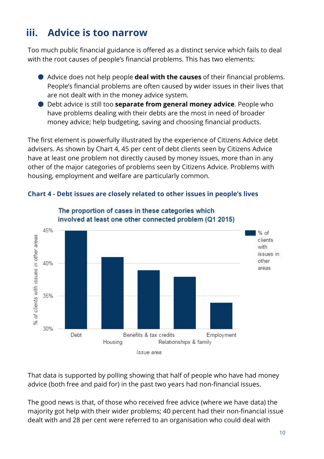## **iii. Advice is too narrow**

Too much public financial guidance is offered as a distinct service which fails to deal with the root causes of people's financial problems. This has two elements:

- Advice does not help people **deal with the causes**of their financial problems. People's financial problems are often caused by wider issues in their lives that are not dealt with in the money advice system.
- Debt advice is still too **separate from general money advice**. People who have problems dealing with their debts are the most in need of broader money advice; help budgeting, saving and choosing financial products.

The first element is powerfully illustrated by the experience of Citizens Advice debt advisers. As shown by Chart 4, 45 per cent of debt clients seen by Citizens Advice have at least one problem not directly caused by money issues, more than in any other of the major categories of problems seen by Citizens Advice. Problems with housing, employment and welfare are particularly common.





The proportion of cases in these categories which

That data is supported by polling showing that half of people who have had money advice (both free and paid for) in the past two years had non-financial issues.

The good news is that, of those who received free advice (where we have data) the majority got help with their wider problems; 40 percent had their non-financial issue dealt with and 28 per cent were referred to an organisation who could deal with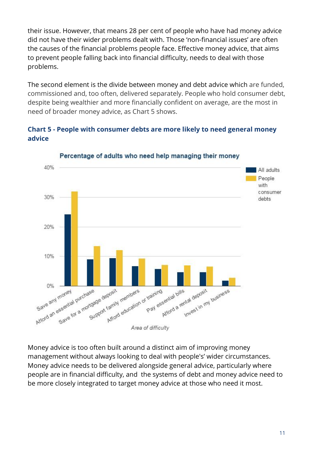their issue. However, that means 28 per cent of people who have had money advice did not have their wider problems dealt with. Those 'non-financial issues' are often the causes of the financial problems people face. Effective money advice, that aims to prevent people falling back into financial difficulty, needs to deal with those problems.

The second element is the divide between money and debt advice which are funded, commissioned and, too often, delivered separately. People who hold consumer debt, despite being wealthier and more financially confident on average, are the most in need of broader money advice, as Chart 5 shows.

#### **Chart 5 - People with consumer debts are more likely to need general money advice**



Percentage of adults who need help managing their money

Money advice is too often built around a distinct aim of improving money management without always looking to deal with people's' wider circumstances. Money advice needs to be delivered alongside general advice, particularly where people are in financial difficulty, and the systems of debt and money advice need to be more closely integrated to target money advice at those who need it most.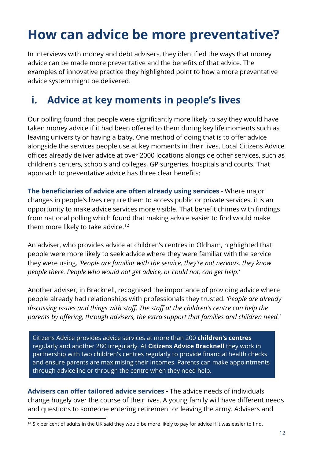## **How can advice be more preventative?**

In interviews with money and debt advisers, they identified the ways that money advice can be made more preventative and the benefits of that advice. The examples of innovative practice they highlighted point to how a more preventative advice system might be delivered.

## **i. Advice at key moments in people's lives**

Our polling found that people were significantly more likely to say they would have taken money advice if it had been offered to them during key life moments such as leaving university or having a baby. One method of doing that is to offer advice alongside the services people use at key moments in their lives. Local Citizens Advice offices already deliver advice at over 2000 locations alongside other services, such as children's centers, schools and colleges, GP surgeries, hospitals and courts. That approach to preventative advice has three clear benefits:

**The beneficiaries of advice are often already using services**- Where major changes in people's lives require them to access public or private services, it is an opportunity to make advice services more visible. That benefit chimes with findings from national polling which found that making advice easier to find would make them more likely to take advice. 12

An adviser, who provides advice at children's centres in Oldham, highlighted that people were more likely to seek advice where they were familiar with the service they were using. *'People are familiar with the service, they're not nervous, they know people there. People who would not get advice, or could not, can get help.'*

Another adviser, in Bracknell, recognised the importance of providing advice where people already had relationships with professionals they trusted. *'People are already discussing issues and things with staff. The staff at the children's centre can help the parents by offering, through advisers, the extra support that families and children need.'*

Citizens Advice provides advice services at more than 200 **children's centres** regularly and another 280 irregularly. At **Citizens Advice Bracknell** they work in partnership with two children's centres regularly to provide financial health checks and ensure parents are maximising their incomes. Parents can make appointments through adviceline or through the centre when they need help.

**Advisers can offer tailored advice services-** The advice needs of individuals change hugely over the course of their lives. A young family will have different needs and questions to someone entering retirement or leaving the army. Advisers and

 $12$  Six per cent of adults in the UK said they would be more likely to pay for advice if it was easier to find.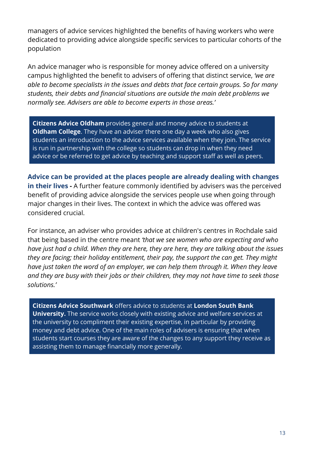managers of advice services highlighted the benefits of having workers who were dedicated to providing advice alongside specific services to particular cohorts of the population

An advice manager who is responsible for money advice offered on a university campus highlighted the benefit to advisers of offering that distinct service, *'we are able to become specialists in the issues and debts that face certain groups. So for many students, their debts and financial situations are outside the main debt problems we normally see. Advisers are able to become experts in those areas.'*

**Citizens Advice Oldham** provides general and money advice to students at **Oldham College**. They have an adviser there one day a week who also gives students an introduction to the advice services available when they join. The service is run in partnership with the college so students can drop in when they need advice or be referred to get advice by teaching and support staff as well as peers.

**Advice can be provided at the places people are already dealing with changes in their lives-** A further feature commonly identified by advisers was the perceived benefit of providing advice alongside the services people use when going through major changes in their lives. The context in which the advice was offered was considered crucial.

For instance, an adviser who provides advice at children's centres in Rochdale said that being based in the centre meant *'that we see women who are expecting and who have just had a child. When they are here, they are here, they are talking about the issues they are facing; their holiday entitlement, their pay, the support the can get. They might have just taken the word of an employer, we can help them through it. When they leave and they are busy with their jobs or their children, they may not have time to seek those solutions.'*

**Citizens Advice Southwark** offers advice to students at **London South Bank University.** The service works closely with existing advice and welfare services at the university to compliment their existing expertise, in particular by providing money and debt advice. One of the main roles of advisers is ensuring that when students start courses they are aware of the changes to any support they receive as assisting them to manage financially more generally.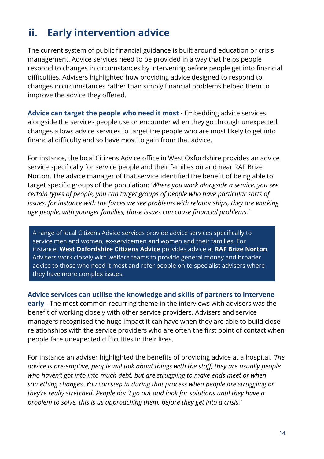## **ii. Early intervention advice**

The current system of public financial guidance is built around education or crisis management. Advice services need to be provided in a way that helps people respond to changes in circumstances by intervening before people get into financial difficulties. Advisers highlighted how providing advice designed to respond to changes in circumstances rather than simply financial problems helped them to improve the advice they offered.

**Advice can target the people who need it most-** Embedding advice services alongside the services people use or encounter when they go through unexpected changes allows advice services to target the people who are most likely to get into financial difficulty and so have most to gain from that advice.

For instance, the local Citizens Advice office in West Oxfordshire provides an advice service specifically for service people and their families on and near RAF Brize Norton. The advice manager of that service identified the benefit of being able to target specific groups of the population: *'Where you work alongside a service, you see certain types of people, you can target groups of people who have particular sorts of issues, for instance with the forces we see problems with relationships, they are working age people, with younger families, those issues can cause financial problems.'*

A range of local Citizens Advice services provide advice services specifically to service men and women, ex-servicemen and women and their families. For instance, **West Oxfordshire Citizens Advice**provides advice at **RAF Brize Norton**. Advisers work closely with welfare teams to provide general money and broader advice to those who need it most and refer people on to specialist advisers where they have more complex issues.

**Advice services can utilise the knowledge and skills of partners to intervene early -** The most common recurring theme in the interviews with advisers was the benefit of working closely with other service providers. Advisers and service managers recognised the huge impact it can have when they are able to build close relationships with the service providers who are often the first point of contact when people face unexpected difficulties in their lives.

For instance an adviser highlighted the benefits of providing advice at a hospital. *'The advice is pre-emptive, people will talk about things with the staff, they are usually people who haven't got into into much debt, but are struggling to make ends meet or when something changes. You can step in during that process when people are struggling or they're really stretched. People don't go out and look for solutions until they have a problem to solve, this is us approaching them, before they get into a crisis.'*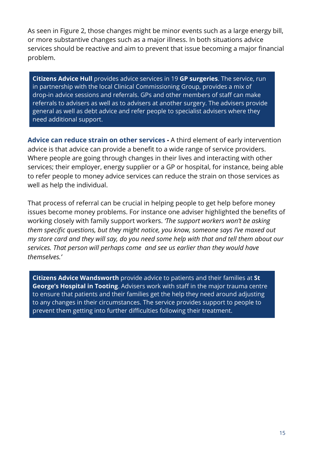As seen in Figure 2, those changes might be minor events such as a large energy bill, or more substantive changes such as a major illness. In both situations advice services should be reactive and aim to prevent that issue becoming a major financial problem.

**Citizens AdviceHull**provides advice services in 19 **GP surgeries**. The service, run in partnership with the local Clinical Commissioning Group, provides a mix of drop-in advice sessions and referrals. GPs and other members of staff can make referrals to advisers as well as to advisers at another surgery. The advisers provide general as well as debt advice and refer people to specialist advisers where they need additional support.

**Advice can reduce strain on other services-** A third element of early intervention advice is that advice can provide a benefit to a wide range of service providers. Where people are going through changes in their lives and interacting with other services; their employer, energy supplier or a GP or hospital, for instance, being able to refer people to money advice services can reduce the strain on those services as well as help the individual.

That process of referral can be crucial in helping people to get help before money issues become money problems. For instance one adviser highlighted the benefits of working closely with family support workers. *'The support workers won't be asking them specific questions, but they might notice, you know, someone says I've maxed out my store card and they will say, do you need some help with that and tell them about our services. That person will perhaps come and see us earlier than they would have themselves.'*

**Citizens Advice Wandsworth** provide advice to patients and their families at **St George's Hospital in Tooting**. Advisers work with staff in the major trauma centre to ensure that patients and their families get the help they need around adjusting to any changes in their circumstances. The service provides support to people to prevent them getting into further difficulties following their treatment.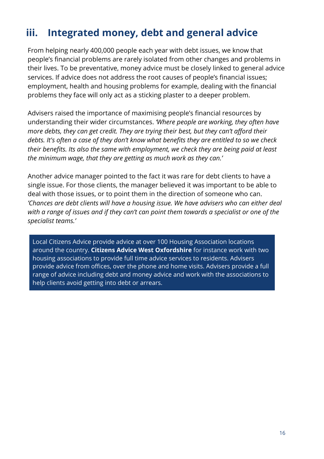## **iii. Integrated money, debt and general advice**

From helping nearly 400,000 people each year with debt issues, we know that people's financial problems are rarely isolated from other changes and problems in their lives. To be preventative, money advice must be closely linked to general advice services. If advice does not address the root causes of people's financial issues; employment, health and housing problems for example, dealing with the financial problems they face will only act as a sticking plaster to a deeper problem.

Advisers raised the importance of maximising people's financial resources by understanding their wider circumstances. *'Where people are working, they often have more debts, they can get credit. They are trying their best, but they can't afford their debts. It's often a case of they don't know what benefits they are entitled to so we check their benefits. Its also the same with employment, we check they are being paid at least the minimum wage, that they are getting as much work as they can.'*

Another advice manager pointed to the fact it was rare for debt clients to have a single issue. For those clients, the manager believed it was important to be able to deal with those issues, or to point them in the direction of someone who can. *'Chances are debt clients will have a housing issue. We have advisers who can either deal with a range of issues and if they can't can point them towards a specialist or one of the specialist teams.'*

Local Citizens Advice provide advice at over 100 Housing Association locations around the country. **Citizens Advice West Oxfordshire** for instance work with two housing associations to provide full time advice services to residents. Advisers provide advice from offices, over the phone and home visits. Advisers provide a full range of advice including debt and money advice and work with the associations to help clients avoid getting into debt or arrears.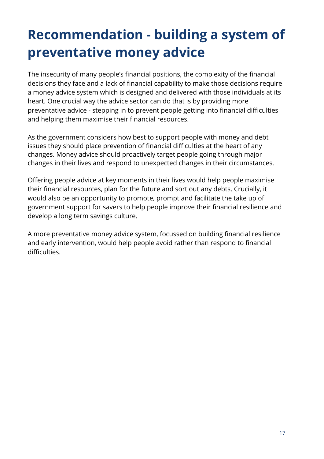## **Recommendation - building a system of preventative money advice**

The insecurity of many people's financial positions, the complexity of the financial decisions they face and a lack of financial capability to make those decisions require a money advice system which is designed and delivered with those individuals at its heart. One crucial way the advice sector can do that is by providing more preventative advice - stepping in to prevent people getting into financial difficulties and helping them maximise their financial resources.

As the government considers how best to support people with money and debt issues they should place prevention of financial difficulties at the heart of any changes. Money advice should proactively target people going through major changes in their lives and respond to unexpected changes in their circumstances.

Offering people advice at key moments in their lives would help people maximise their financial resources, plan for the future and sort out any debts. Crucially, it would also be an opportunity to promote, prompt and facilitate the take up of government support for savers to help people improve their financial resilience and develop a long term savings culture.

A more preventative money advice system, focussed on building financial resilience and early intervention, would help people avoid rather than respond to financial difficulties.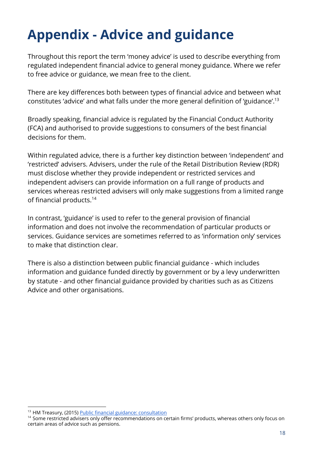## **Appendix - Advice and guidance**

Throughout this report the term 'money advice' is used to describe everything from regulated independent financial advice to general money guidance. Where we refer to free advice or guidance, we mean free to the client.

There are key differences both between types of financial advice and between what constitutes 'advice' and what falls under the more general definition of 'guidance'. 13

Broadly speaking, financial advice is regulated by the Financial Conduct Authority (FCA) and authorised to provide suggestions to consumers of the best financial decisions for them.

Within regulated advice, there is a further key distinction between 'independent' and 'restricted' advisers. Advisers, under the rule of the Retail Distribution Review (RDR) must disclose whether they provide independent or restricted services and independent advisers can provide information on a full range of products and services whereas restricted advisers will only make suggestions from a limited range of financial products. 14

In contrast, 'guidance' is used to refer to the general provision of financial information and does not involve the recommendation of particular products or services. Guidance services are sometimes referred to as 'information only' services to make that distinction clear.

There is also a distinction between public financial guidance - which includes information and guidance funded directly by government or by a levy underwritten by statute - and other financial guidance provided by charities such as as Citizens Advice and other organisations.

<sup>&</sup>lt;sup>13</sup> HM Treasury, (2015) Public financial guidance: consultation

<sup>&</sup>lt;sup>14</sup> Some restricted advisers only offer recommendations on certain firms' products, whereas others only focus on certain areas of advice such as pensions.